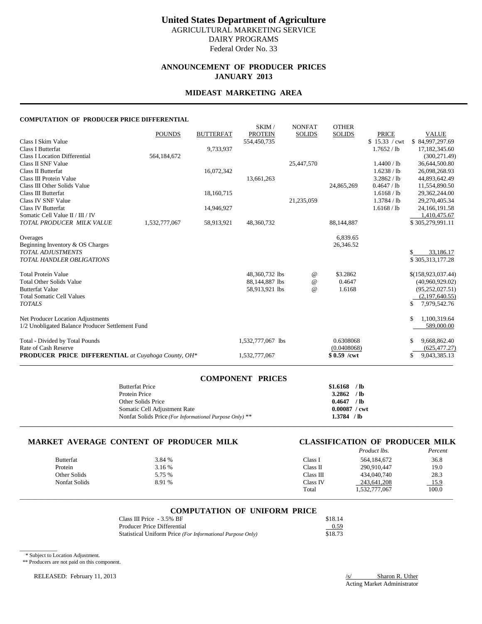### **United States Department of Agriculture** AGRICULTURAL MARKETING SERVICE DAIRY PROGRAMS Federal Order No. 33

### **ANNOUNCEMENT OF PRODUCER PRICES JANUARY 2013**

#### **MIDEAST MARKETING AREA**

#### **COMPUTATION OF PRODUCER PRICE DIFFERENTIAL**

|                                                            | <b>POUNDS</b> | <b>BUTTERFAT</b> | SKIM/<br><b>PROTEIN</b> | <b>NONFAT</b><br><b>SOLIDS</b>  | <b>OTHER</b><br><b>SOLIDS</b> | <b>PRICE</b>  | <b>VALUE</b>       |
|------------------------------------------------------------|---------------|------------------|-------------------------|---------------------------------|-------------------------------|---------------|--------------------|
| Class I Skim Value                                         |               |                  | 554,450,735             |                                 |                               | \$15.33 / cwt | \$84,997,297.69    |
| <b>Class I Butterfat</b>                                   |               | 9,733,937        |                         |                                 |                               | 1.7652 / lb   | 17,182,345.60      |
| <b>Class I Location Differential</b>                       | 564,184,672   |                  |                         |                                 |                               |               | (300, 271.49)      |
| Class II SNF Value                                         |               |                  |                         | 25,447,570                      |                               | 1.4400 / lb   | 36,644,500.80      |
| Class II Butterfat                                         |               | 16,072,342       |                         |                                 |                               | 1.6238 / lb   | 26,098,268.93      |
| Class III Protein Value                                    |               |                  | 13,661,263              |                                 |                               | 3.2862 / lb   | 44,893,642.49      |
| Class III Other Solids Value                               |               |                  |                         |                                 | 24,865,269                    | 0.4647 / lb   | 11,554,890.50      |
| Class III Butterfat                                        |               | 18,160,715       |                         |                                 |                               | 1.6168 / lb   | 29,362,244.00      |
| Class IV SNF Value                                         |               |                  |                         | 21,235,059                      |                               | 1.3784 / lb   | 29,270,405.34      |
| Class IV Butterfat                                         |               | 14,946,927       |                         |                                 |                               | 1.6168 / lb   | 24, 166, 191.58    |
| Somatic Cell Value II / III / IV                           |               |                  |                         |                                 |                               |               | 1,410,475.67       |
| TOTAL PRODUCER MILK VALUE                                  | 1,532,777,067 | 58,913,921       | 48,360,732              |                                 | 88,144,887                    |               | \$305,279,991.11   |
| Overages                                                   |               |                  |                         |                                 | 6,839.65                      |               |                    |
| Beginning Inventory & OS Charges                           |               |                  |                         |                                 | 26,346.52                     |               |                    |
| <b>TOTAL ADJUSTMENTS</b>                                   |               |                  |                         |                                 |                               |               | 33,186.17          |
| <b>TOTAL HANDLER OBLIGATIONS</b>                           |               |                  |                         |                                 |                               |               | \$305,313,177.28   |
| <b>Total Protein Value</b>                                 |               |                  | 48,360,732 lbs          | $^{\scriptsize\textregistered}$ | \$3.2862                      |               | \$(158,923,037.44) |
| <b>Total Other Solids Value</b>                            |               |                  | 88,144,887 lbs          | $^{\omega}{}$                   | 0.4647                        |               | (40,960,929.02)    |
| <b>Butterfat Value</b>                                     |               |                  | 58,913,921 lbs          | $\omega$                        | 1.6168                        |               | (95, 252, 027.51)  |
| <b>Total Somatic Cell Values</b>                           |               |                  |                         |                                 |                               |               | (2,197,640.55)     |
| <b>TOTALS</b>                                              |               |                  |                         |                                 |                               |               | 7,979,542.76<br>\$ |
| Net Producer Location Adjustments                          |               |                  |                         |                                 |                               |               | 1,100,319.64<br>\$ |
| 1/2 Unobligated Balance Producer Settlement Fund           |               |                  |                         |                                 |                               |               | 589,000.00         |
| Total - Divided by Total Pounds                            |               |                  | 1,532,777,067 lbs       |                                 | 0.6308068                     |               | 9,668,862.40<br>S  |
| Rate of Cash Reserve                                       |               |                  |                         |                                 | (0.0408068)                   |               | (625, 477, 27)     |
| <b>PRODUCER PRICE DIFFERENTIAL</b> at Cuyahoga County, OH* |               |                  | 1,532,777,067           |                                 | $$0.59$ /cwt                  |               | 9,043,385.13<br>S. |

| <b>COMPONENT PRICES</b>                                 |                        |
|---------------------------------------------------------|------------------------|
| <b>Butterfat Price</b>                                  | $$1.6168$ /lb          |
| Protein Price                                           | $3.2862$ /lb           |
| Other Solids Price                                      | $0.4647$ /lb           |
| Somatic Cell Adjustment Rate                            | $0.00087 / \text{cwt}$ |
| Nonfat Solids Price (For Informational Purpose Only) ** | $1.3784$ /lb           |
|                                                         |                        |

# **MARKET AVERAGE CONTENT OF PRODUCER MILK CLASSIFICATION OF PRODUCER MILK**

# *Product lbs.*

|                  |        |           | 110auct ws.   | генет |
|------------------|--------|-----------|---------------|-------|
| <b>Butterfat</b> | 3.84 % | Class I   | 564.184.672   | 36.8  |
| Protein          | 3.16 % | Class II  | 290.910.447   | 19.0  |
| Other Solids     | 5.75 % | Class III | 434,040,740   | 28.3  |
| Nonfat Solids    | 8.91 % | Class IV  | 243,641,208   | 15.9  |
|                  |        | Total     | 1,532,777,067 | 100.0 |
|                  |        |           |               |       |

# \_\_\_\_\_\_\_\_\_\_\_\_\_\_\_\_\_\_\_\_\_\_\_\_\_\_\_\_\_\_\_\_\_\_\_\_\_\_\_\_\_\_\_\_\_\_\_\_\_\_\_\_\_\_\_\_\_\_\_\_\_\_\_\_\_\_\_\_\_\_\_\_\_\_\_\_\_\_\_\_\_\_\_\_\_\_\_\_\_\_\_\_\_\_\_\_\_\_\_\_\_\_\_\_\_\_\_\_\_\_\_\_\_\_\_\_\_\_\_\_\_\_\_\_\_\_\_\_\_\_\_\_\_\_\_\_\_\_\_ **COMPUTATION OF UNIFORM PRICE**

| Class III Price $-3.5\%$ BF                                | \$18.14 |
|------------------------------------------------------------|---------|
| Producer Price Differential                                | 0.59    |
| Statistical Uniform Price (For Informational Purpose Only) | \$18.73 |

\* Subject to Location Adjustment.

 $\overline{\phantom{a}}$ 

\*\* Producers are not paid on this component.

RELEASED: February 11, 2013

 $\frac{S}{\text{Acting Market Administration}}$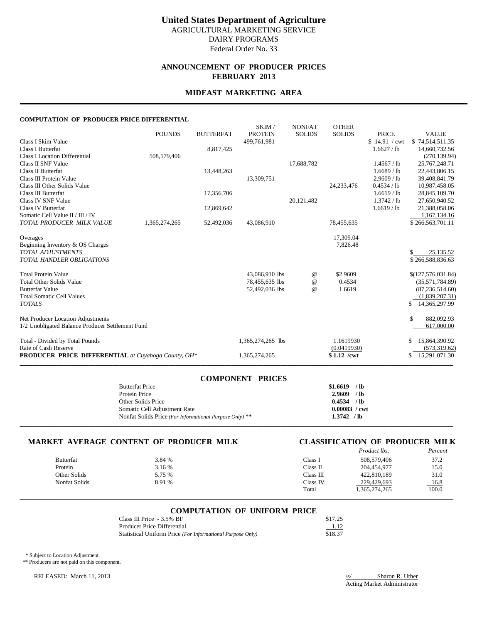### **United States Department of Agriculture** AGRICULTURAL MARKETING SERVICE DAIRY PROGRAMS Federal Order No. 33

### **ANNOUNCEMENT OF PRODUCER PRICES FEBRUARY 2013**

### **MIDEAST MARKETING AREA**

#### **COMPUTATION OF PRODUCER PRICE DIFFERENTIAL**

|                                                            | <b>POUNDS</b> | <b>BUTTERFAT</b> | SKIM/<br><b>PROTEIN</b> | <b>NONFAT</b><br><b>SOLIDS</b> | <b>OTHER</b><br><b>SOLIDS</b> | <b>PRICE</b>  | <b>VALUE</b>                         |
|------------------------------------------------------------|---------------|------------------|-------------------------|--------------------------------|-------------------------------|---------------|--------------------------------------|
| Class I Skim Value                                         |               |                  | 499.761.981             |                                |                               | \$14.91 / cwt | \$74,514,511.35                      |
| <b>Class I Butterfat</b>                                   |               | 8,817,425        |                         |                                |                               | 1.6627 / lb   | 14,660,732.56                        |
| Class I Location Differential                              | 508,579,406   |                  |                         |                                |                               |               | (270, 139.94)                        |
| Class II SNF Value                                         |               |                  |                         | 17,688,782                     |                               | 1.4567 / lb   | 25,767,248.71                        |
| Class II Butterfat                                         |               | 13,448,263       |                         |                                |                               | 1.6689 / lb   | 22,443,806.15                        |
| Class III Protein Value                                    |               |                  | 13,309,751              |                                |                               | 2.9609 / lb   | 39,408,841.79                        |
| Class III Other Solids Value                               |               |                  |                         |                                | 24, 233, 476                  | 0.4534 / lb   | 10,987,458.05                        |
| Class III Butterfat                                        |               | 17,356,706       |                         |                                |                               | 1.6619 / lb   | 28,845,109.70                        |
| Class IV SNF Value                                         |               |                  |                         | 20,121,482                     |                               | 1.3742 / lb   | 27,650,940.52                        |
| Class IV Butterfat                                         |               | 12,869,642       |                         |                                |                               | 1.6619/lb     | 21,388,058.06                        |
| Somatic Cell Value II / III / IV                           |               |                  |                         |                                |                               |               | 1,167,134.16                         |
| TOTAL PRODUCER MILK VALUE                                  | 1,365,274,265 | 52,492,036       | 43,086,910              |                                | 78,455,635                    |               | \$266,563,701.11                     |
| Overages                                                   |               |                  |                         |                                | 17,309.04                     |               |                                      |
| Beginning Inventory & OS Charges                           |               |                  |                         |                                | 7,826.48                      |               |                                      |
| <b>TOTAL ADJUSTMENTS</b>                                   |               |                  |                         |                                |                               |               | 25,135.52                            |
| <b>TOTAL HANDLER OBLIGATIONS</b>                           |               |                  |                         |                                |                               |               | \$266,588,836.63                     |
|                                                            |               |                  |                         |                                |                               |               |                                      |
| <b>Total Protein Value</b>                                 |               |                  | 43,086,910 lbs          | $^{\,a}$                       | \$2.9609                      |               | \$(127,576,031.84)                   |
| <b>Total Other Solids Value</b>                            |               |                  | 78,455,635 lbs          | $^{\omega}{}$                  | 0.4534                        |               | (35,571,784.89)                      |
| <b>Butterfat Value</b>                                     |               |                  | 52,492,036 lbs          | @                              | 1.6619                        |               | (87, 236, 514, 60)                   |
| <b>Total Somatic Cell Values</b>                           |               |                  |                         |                                |                               |               | (1,839,207.31)                       |
| <b>TOTALS</b>                                              |               |                  |                         |                                |                               |               | \$<br>14, 365, 297. 99               |
| Net Producer Location Adjustments                          |               |                  |                         |                                |                               |               | \$<br>882,092.93                     |
| 1/2 Unobligated Balance Producer Settlement Fund           |               |                  |                         |                                |                               |               | 617,000.00                           |
|                                                            |               |                  |                         |                                |                               |               |                                      |
| Total - Divided by Total Pounds<br>Rate of Cash Reserve    |               |                  | 1,365,274,265 lbs       |                                | 1.1619930                     |               | 15,864,390.92<br>S                   |
| <b>PRODUCER PRICE DIFFERENTIAL</b> at Cuyahoga County, OH* |               |                  | 1,365,274,265           |                                | (0.0419930)<br>$$1.12$ /cwt   |               | (573, 319.62)<br>15,291,071.30<br>\$ |
|                                                            |               |                  |                         |                                |                               |               |                                      |

| <b>COMPONENT PRICES</b>                                                  |  |
|--------------------------------------------------------------------------|--|
| $$1.6619$ /lb<br><b>Butterfat Price</b>                                  |  |
| $2.9609$ /lb<br>Protein Price                                            |  |
| $0.4534$ /lb<br>Other Solids Price                                       |  |
| $0.00083 / \text{cwt}$<br>Somatic Cell Adjustment Rate                   |  |
| $1.3742$ / lb<br>Nonfat Solids Price (For Informational Purpose Only) ** |  |
|                                                                          |  |

# **MARKET AVERAGE CONTENT OF PRODUCER MILK CLASSIFICATION OF PRODUCER MILK**

| CLASSIFICATION OF PRODUCER MILK |                    |  |         |
|---------------------------------|--------------------|--|---------|
|                                 | <i>Product lbs</i> |  | Percent |

|                  |        |                             | 1 Touget ws.  | 1 егсени |
|------------------|--------|-----------------------------|---------------|----------|
| <b>Butterfat</b> | 3.84 % | $\text{Class} \ \mathbf{I}$ | 508.579.406   | 37.2     |
| Protein          | 3.16 % | Class II                    | 204.454.977   | 15.0     |
| Other Solids     | 5.75 % | Class III                   | 422,810,189   | 31.0     |
| Nonfat Solids    | 8.91 % | Class IV                    | 229,429,693   | 16.8     |
|                  |        | Total                       | 1,365,274,265 | 100.0    |
|                  |        |                             |               |          |

| <b>COMPUTATION OF UNIFORM PRICE</b> |  |
|-------------------------------------|--|

| Class III Price $-3.5\%$ BF                                | \$17.25 |
|------------------------------------------------------------|---------|
| Producer Price Differential                                | 1.12    |
| Statistical Uniform Price (For Informational Purpose Only) | \$18.37 |

\* Subject to Location Adjustment.

 $\overline{\phantom{a}}$ 

\*\* Producers are not paid on this component.

RELEASED: March 11, 2013 **Sharon R. Uther** Sharon R. Uther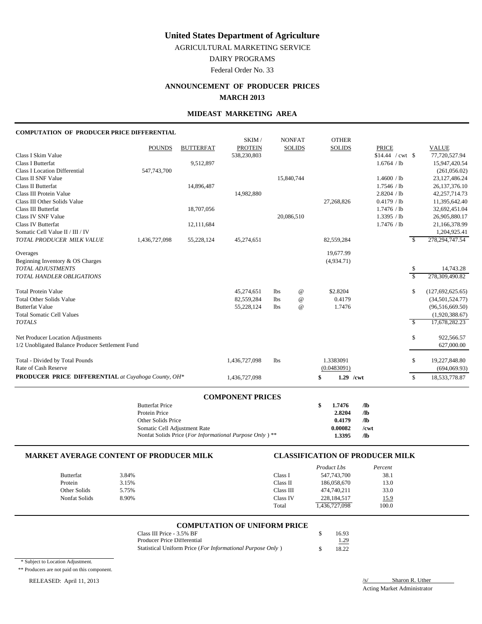AGRICULTURAL MARKETING SERVICE

DAIRY PROGRAMS

Federal Order No. 33

### **ANNOUNCEMENT OF PRODUCER PRICES MARCH 2013**

### **MIDEAST MARKETING AREA**

#### **COMPUTATION OF PRODUCER PRICE DIFFERENTIAL**

| <b>PROTEIN</b><br><b>POUNDS</b><br><b>SOLIDS</b><br><b>SOLIDS</b><br><b>PRICE</b><br><b>BUTTERFAT</b>            | <b>VALUE</b>     |
|------------------------------------------------------------------------------------------------------------------|------------------|
|                                                                                                                  |                  |
| Class I Skim Value<br>538,230,803                                                                                | 77,720,527.94    |
| <b>Class I Butterfat</b><br>9,512,897<br>1.6764 / lb                                                             | 15,947,420.54    |
| 547,743,700<br><b>Class I Location Differential</b>                                                              | (261,056.02)     |
| Class II SNF Value<br>15,840,744<br>1.4600 / lb                                                                  | 23,127,486.24    |
| Class II Butterfat<br>14,896,487<br>1.7546 / lb                                                                  | 26, 137, 376. 10 |
| Class III Protein Value<br>2.8204 / lb<br>14,982,880                                                             | 42,257,714.73    |
| 0.4179 / lb<br>Class III Other Solids Value<br>27,268,826                                                        | 11,395,642.40    |
| Class III Butterfat<br>18,707,056<br>1.7476 / lb                                                                 | 32,692,451.04    |
| Class IV SNF Value<br>20,086,510<br>1.3395 / lb                                                                  | 26,905,880.17    |
| <b>Class IV Butterfat</b><br>1.7476 / lb<br>12,111,684                                                           | 21,166,378.99    |
| Somatic Cell Value II / III / IV                                                                                 | 1,204,925.41     |
| TOTAL PRODUCER MILK VALUE<br>1,436,727,098<br>55,228,124<br>45,274,651<br>82,559,284                             | 278, 294, 747.54 |
| 19.677.99<br>Overages                                                                                            |                  |
| Beginning Inventory & OS Charges<br>(4,934.71)                                                                   |                  |
| <b>TOTAL ADJUSTMENTS</b><br>\$                                                                                   | 14,743.28        |
| $\overline{\mathcal{S}}$<br>TOTAL HANDLER OBLIGATIONS                                                            | 278,309,490.82   |
| <b>Total Protein Value</b><br>\$2.8204<br>45,274,651<br>$^{\copyright}$<br>\$<br>1bs                             | (127,692,625.65) |
| <b>Total Other Solids Value</b><br>$\omega$<br>0.4179<br>82,559,284<br>1bs                                       | (34,501,524.77)  |
| <b>Butterfat Value</b><br>$\omega$<br>1.7476<br>55,228,124<br>1bs                                                | (96,516,669.50)  |
| <b>Total Somatic Cell Values</b>                                                                                 | (1,920,388.67)   |
| $\mathcal{S}$<br><b>TOTALS</b>                                                                                   | 17,678,282.23    |
| Net Producer Location Adjustments<br>\$                                                                          | 922,566.57       |
| 1/2 Unobligated Balance Producer Settlement Fund                                                                 | 627,000.00       |
| Total - Divided by Total Pounds<br>1.3383091<br>1,436,727,098<br>1bs<br>\$                                       | 19,227,848.80    |
| Rate of Cash Reserve<br>(0.0483091)                                                                              | (694,069.93)     |
| <b>PRODUCER PRICE DIFFERENTIAL</b> at Cuyahoga County, OH*<br>$\mathbb{S}$<br>\$<br>$1.29$ /cwt<br>1,436,727,098 | 18,533,778.87    |

#### **COMPONENT PRICES**

| <b>Butterfat Price</b>                                                      | S | 1.7476  | Лb   |
|-----------------------------------------------------------------------------|---|---------|------|
| Protein Price                                                               |   | 2.8204  | Лb   |
| Other Solids Price                                                          |   | 0.4179  | Лb   |
| Somatic Cell Adjustment Rate                                                |   | 0.00082 | /cwt |
| Nonfat Solids Price ( <i>For Informational Purpose Only</i> ) <sup>**</sup> |   | 1.3395  | Лb   |

#### **MARKET AVERAGE CONTENT OF PRODUCER MILK CLASSIFICATION OF PRODUCER MILK** *Product Lbs Percent* Butterfat 3.84% 3.84% Class I 547,743,700 38.1 Protein 3.15% 3.15% Class II 186,058,670 13.0 Other Solids 5.75% 5.75% Class III 474,740,211 33.0 Nonfat Solids 8.90% 8.90% Class IV 228,184,517 15.9 Total 1,436,727,098 100.0

### **COMPUTATION OF UNIFORM PRICE**

| Class III Price - 3.5% BF                                  | 16.93 |
|------------------------------------------------------------|-------|
| Producer Price Differential                                | 1.29  |
| Statistical Uniform Price (For Informational Purpose Only) | 18.22 |

\* Subject to Location Adjustment.

\*\* Producers are not paid on this component.

### RELEASED: April 11, 2013 /s/ Sharon R. Uther Sharon R. Uther Sharon R. Uther Sharon R. Uther Sharon R. Uther Sharon R. Uther Sharon R. Uther Sharon R. Uther Sharon R. Uther Sharon R. Uther Sharon R. Uther Sharon R. Uther S

Acting Market Administrator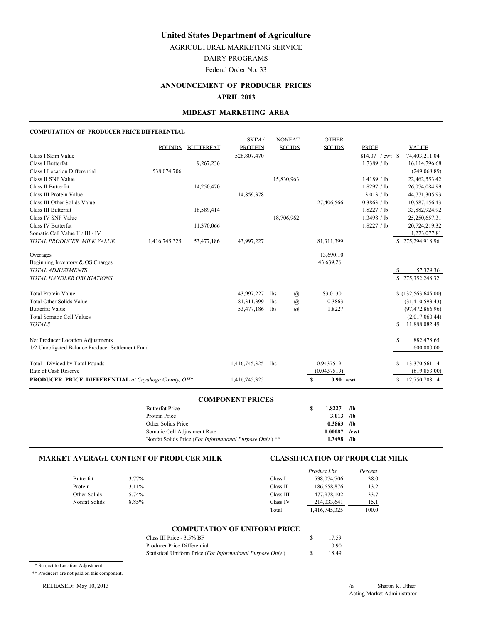AGRICULTURAL MARKETING SERVICE

DAIRY PROGRAMS

Federal Order No. 33

#### **ANNOUNCEMENT OF PRODUCER PRICES**

#### **APRIL 2013**

#### **MIDEAST MARKETING AREA**

#### **COMPUTATION OF PRODUCER PRICE DIFFERENTIAL**

| <b>VALUE</b><br>74,403,211.04 |
|-------------------------------|
|                               |
|                               |
| 16, 114, 796. 68              |
| (249,068.89)                  |
| 22,462,553.42                 |
| 26,074,084.99                 |
| 44,771,305.93                 |
| 10,587,156.43                 |
| 33,882,924.92                 |
| 25,250,657.31                 |
| 20,724,219.32                 |
| 1,273,077.81                  |
| \$275,294,918.96              |
|                               |
|                               |
| 57,329.36                     |
| \$275,352,248.32              |
|                               |
| \$(132, 563, 645.00)          |
| (31, 410, 593.43)             |
| (97, 472, 866.96)             |
| (2,017,060.44)                |
| 11,888,082.49                 |
|                               |
| 882,478.65                    |
| 600,000.00                    |
| 13,370,561.14                 |
| (619, 853.00)                 |
| 12,750,708.14                 |
|                               |

#### **COMPONENT PRICES**

| <b>Butterfat Price</b>                                             | S | 1.8227  | /lb  |
|--------------------------------------------------------------------|---|---------|------|
| Protein Price                                                      |   | 3.013   | /lb  |
| Other Solids Price                                                 |   | 0.3863  | /lb  |
| Somatic Cell Adjustment Rate                                       |   | 0.00087 | /cwt |
| Nonfat Solids Price (For Informational Purpose Only) <sup>**</sup> |   | 1.3498  | /lb  |

#### **MARKET AVERAGE CONTENT OF PRODUCER MILK CLASSIFICATION OF PRODUCER MILK**

|               |       |           | <i>Product Lbs</i> | Percent |
|---------------|-------|-----------|--------------------|---------|
| Butterfat     | 3.77% | Class I   | 538,074,706        | 38.0    |
| Protein       | 3.11% | Class II  | 186,658,876        | 13.2    |
| Other Solids  | 5.74% | Class III | 477,978,102        | 33.7    |
| Nonfat Solids | 8.85% | Class IV  | 214,033,641        | 15.1    |
|               |       | Total     | 1,416,745,325      | 100.0   |

#### **COMPUTATION OF UNIFORM PRICE**

| Class III Price - 3.5% BF                                  | 17.59 |
|------------------------------------------------------------|-------|
| Producer Price Differential                                | 0.90  |
| Statistical Uniform Price (For Informational Purpose Only) | 18.49 |

\* Subject to Location Adjustment.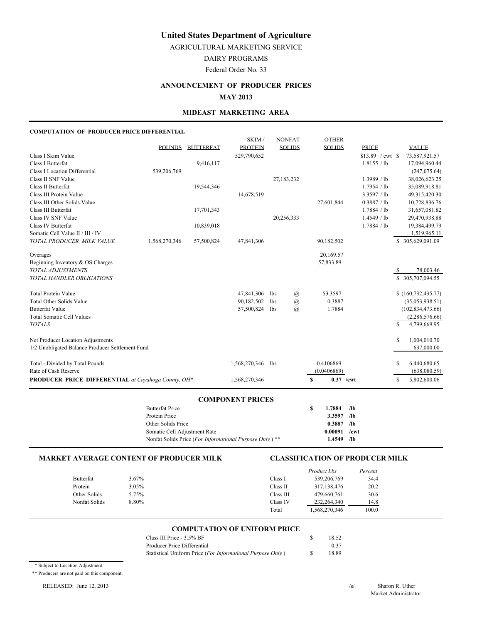AGRICULTURAL MARKETING SERVICE

DAIRY PROGRAMS

Federal Order No. 33

#### **ANNOUNCEMENT OF PRODUCER PRICES**

#### **MAY 2013**

#### **MIDEAST MARKETING AREA**

#### **COMPUTATION OF PRODUCER PRICE DIFFERENTIAL**

|                                                     |               |                  | SKIM/          |                 | <b>NONFAT</b>  | <b>OTHER</b>     |                   |                    |
|-----------------------------------------------------|---------------|------------------|----------------|-----------------|----------------|------------------|-------------------|--------------------|
|                                                     | <b>POUNDS</b> | <b>BUTTERFAT</b> | <b>PROTEIN</b> |                 | <b>SOLIDS</b>  | <b>SOLIDS</b>    | <b>PRICE</b>      | <b>VALUE</b>       |
| Class I Skim Value                                  |               |                  | 529,790,652    |                 |                |                  | $$13.89$ / cwt \$ | 73,587,921.57      |
| Class I Butterfat                                   |               | 9,416,117        |                |                 |                |                  | 1.8155 / lb       | 17,094,960.44      |
| <b>Class I Location Differential</b>                | 539,206,769   |                  |                |                 |                |                  |                   | (247,075.64)       |
| Class II SNF Value                                  |               |                  |                |                 | 27,183,232     |                  | 1.3989 / lb       | 38,026,623.25      |
| Class II Butterfat                                  |               | 19,544,346       |                |                 |                |                  | 1.7954 / lb       | 35,089,918.81      |
| Class III Protein Value                             |               |                  | 14,678,519     |                 |                |                  | 3.3597 / lb       | 49,315,420.30      |
| Class III Other Solids Value                        |               |                  |                |                 |                | 27,601,844       | 0.3887 / lb       | 10,728,836.76      |
| Class III Butterfat                                 |               | 17,701,343       |                |                 |                |                  | 1.7884 / lb       | 31,657,081.82      |
| Class IV SNF Value                                  |               |                  |                |                 | 20,256,333     |                  | 1.4549 / lb       | 29,470,938.88      |
| Class IV Butterfat                                  |               | 10,839,018       |                |                 |                |                  | 1.7884 / lb       | 19,384,499.79      |
| Somatic Cell Value II / III / IV                    |               |                  |                |                 |                |                  |                   | 1,519,965.11       |
| TOTAL PRODUCER MILK VALUE                           | 1,568,270,346 | 57,500,824       | 47,841,306     |                 |                | 90,182,502       |                   | \$ 305,629,091.09  |
| Overages                                            |               |                  |                |                 |                | 20,169.57        |                   |                    |
| Beginning Inventory & OS Charges                    |               |                  |                |                 |                | 57,833.89        |                   |                    |
| TOTAL ADJUSTMENTS                                   |               |                  |                |                 |                |                  |                   | 78,003.46          |
| TOTAL HANDLER OBLIGATIONS                           |               |                  |                |                 |                |                  |                   | \$305,707,094.55   |
|                                                     |               |                  |                |                 |                |                  |                   |                    |
| <b>Total Protein Value</b>                          |               |                  | 47,841,306     | lbs             | $\omega$       | \$3.3597         |                   | (160, 732, 435.77) |
| <b>Total Other Solids Value</b>                     |               |                  | 90,182,502     | 1 <sub>bs</sub> | $\omega$       | 0.3887           |                   | (35,053,938.51)    |
| <b>Butterfat Value</b>                              |               |                  | 57,500,824     | lbs             | $\overline{a}$ | 1.7884           |                   | (102, 834, 473.66) |
| <b>Total Somatic Cell Values</b>                    |               |                  |                |                 |                |                  |                   | (2,286,576.66)     |
| <b>TOTALS</b>                                       |               |                  |                |                 |                |                  |                   | S<br>4,799,669.95  |
| Net Producer Location Adjustments                   |               |                  |                |                 |                |                  |                   | 1,004,010.70<br>S  |
| 1/2 Unobligated Balance Producer Settlement Fund    |               |                  |                |                 |                |                  |                   | 637,000.00         |
|                                                     |               |                  |                |                 |                |                  |                   |                    |
| Total - Divided by Total Pounds                     |               |                  | 1,568,270,346  | 1 <sub>bs</sub> |                | 0.4106869        |                   | S<br>6,440,680.65  |
| Rate of Cash Reserve                                |               |                  |                |                 |                | (0.0406869)      |                   | (638,080.59)       |
| PRODUCER PRICE DIFFERENTIAL at Cuvahoga County, OH* |               |                  | 1,568,270,346  |                 |                | $0.37$ /cwt<br>S |                   | S<br>5,802,600.06  |

#### **COMPONENT PRICES**

| <b>Butterfat Price</b>                                             | S. | 1.7884  | /lb  |  |
|--------------------------------------------------------------------|----|---------|------|--|
| Protein Price                                                      |    | 3.3597  | /lb  |  |
| Other Solids Price                                                 |    | 0.3887  | /lb  |  |
| Somatic Cell Adjustment Rate                                       |    | 0.00091 | /cwt |  |
| Nonfat Solids Price (For Informational Purpose Only) <sup>**</sup> |    | 1.4549  | /lb  |  |

#### **MARKET AVERAGE CONTENT OF PRODUCER MILK CLASSIFICATION OF PRODUCER MILK**

|               |       |           | <i>Product Lbs</i> | Percent |
|---------------|-------|-----------|--------------------|---------|
| Butterfat     | 3.67% | Class I   | 539,206,769        | 34.4    |
| Protein       | 3.05% | Class II  | 317, 138, 476      | 20.2    |
| Other Solids  | 5.75% | Class III | 479.660.761        | 30.6    |
| Nonfat Solids | 8.80% | Class IV  | 232, 264, 340      | 14.8    |
|               |       | Total     | 1,568,270,346      | 100.0   |

#### **COMPUTATION OF UNIFORM PRICE**

| Class III Price - 3.5% BF                                  | 18.52 |
|------------------------------------------------------------|-------|
| Producer Price Differential                                | 0.37  |
| Statistical Uniform Price (For Informational Purpose Only) | 18.89 |

\* Subject to Location Adjustment.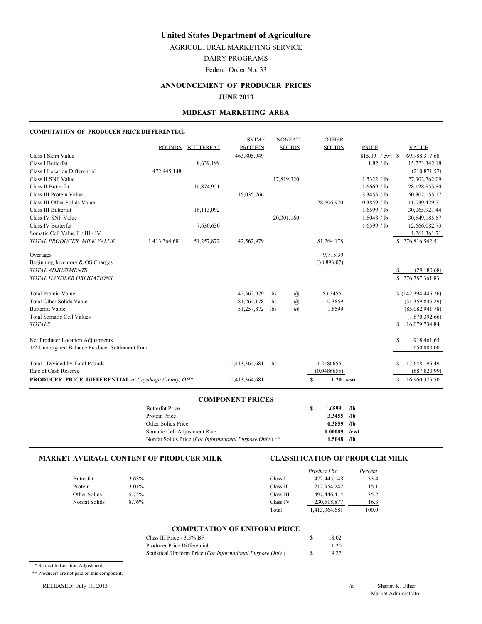AGRICULTURAL MARKETING SERVICE

DAIRY PROGRAMS

Federal Order No. 33

# **ANNOUNCEMENT OF PRODUCER PRICES**

**JUNE 2013**

#### **MIDEAST MARKETING AREA**

#### **COMPUTATION OF PRODUCER PRICE DIFFERENTIAL**

|                                                     |               |                  | SKIM/                 |                 | <b>NONFAT</b>  | <b>OTHER</b>      |                   |    |                    |
|-----------------------------------------------------|---------------|------------------|-----------------------|-----------------|----------------|-------------------|-------------------|----|--------------------|
|                                                     | <b>POUNDS</b> | <b>BUTTERFAT</b> | <b>PROTEIN</b>        |                 | <b>SOLIDS</b>  | <b>SOLIDS</b>     | <b>PRICE</b>      |    | <b>VALUE</b>       |
| Class I Skim Value                                  |               |                  | 463,805,949           |                 |                |                   | $$15.09$ / cwt \$ |    | 69,988,317.68      |
| Class I Butterfat                                   |               | 8,639,199        |                       |                 |                |                   | 1.82 / lb         |    | 15,723,342.18      |
| <b>Class I Location Differential</b>                | 472,445,148   |                  |                       |                 |                |                   |                   |    | (210, 871.57)      |
| Class II SNF Value                                  |               |                  |                       |                 | 17,819,320     |                   | 1.5322 / lb       |    | 27,302,762.09      |
| Class II Butterfat                                  |               | 16,874,951       |                       |                 |                |                   | 1.6669 / lb       |    | 28,128,855.80      |
| Class III Protein Value                             |               |                  | 15,035,766            |                 |                |                   | 3.3455 / lb       |    | 50,302,155.17      |
| Class III Other Solids Value                        |               |                  |                       |                 |                | 28,606,970        | 0.3859 / lb       |    | 11,039,429.71      |
| Class III Butterfat                                 |               | 18,113,092       |                       |                 |                |                   | 1.6599 / lb       |    | 30,065,921.44      |
| Class IV SNF Value                                  |               |                  |                       |                 | 20,301,160     |                   | 1.5048 / lb       |    | 30,549,185.57      |
| Class IV Butterfat                                  |               | 7,630,630        |                       |                 |                |                   | 1.6599 / lb       |    | 12,666,082.73      |
| Somatic Cell Value II / III / IV                    |               |                  |                       |                 |                |                   |                   |    | 1,261,361.71       |
| TOTAL PRODUCER MILK VALUE                           | 1,413,364,681 | 51,257,872       | 42,562,979            |                 |                | 81,264,178        |                   |    | \$276,816,542.51   |
| Overages                                            |               |                  |                       |                 |                | 9,715.39          |                   |    |                    |
| Beginning Inventory & OS Charges                    |               |                  |                       |                 |                | (38,896.07)       |                   |    |                    |
| TOTAL ADJUSTMENTS                                   |               |                  |                       |                 |                |                   |                   | -S | (29, 180.68)       |
| TOTAL HANDLER OBLIGATIONS                           |               |                  |                       |                 |                |                   |                   |    | \$276,787,361.83   |
| <b>Total Protein Value</b>                          |               |                  | 42,562,979            | lbs             | $\overline{a}$ | \$3.3455          |                   |    | (142, 394, 446.26) |
| <b>Total Other Solids Value</b>                     |               |                  | 81,264,178            | 1 <sub>bs</sub> | $\omega$       | 0.3859            |                   |    | (31,359,846.29)    |
| <b>Butterfat Value</b>                              |               |                  | 51,257,872            | lbs             | $\overline{a}$ | 1.6599            |                   |    | (85,082,941.78)    |
| <b>Total Somatic Cell Values</b>                    |               |                  |                       |                 |                |                   |                   |    | (1,870,392.66)     |
| <b>TOTALS</b>                                       |               |                  |                       |                 |                |                   |                   | S  | 16,079,734.84      |
| Net Producer Location Adjustments                   |               |                  |                       |                 |                |                   |                   | S  | 918,461.65         |
| 1/2 Unobligated Balance Producer Settlement Fund    |               |                  |                       |                 |                |                   |                   |    | 650,000.00         |
| Total - Divided by Total Pounds                     |               |                  | 1,413,364,681         | <b>lbs</b>      |                | 1.2486655         |                   | S  | 17,648,196.49      |
| Rate of Cash Reserve                                |               |                  |                       |                 |                | (0.0486655)       |                   |    | (687, 820.99)      |
| PRODUCER PRICE DIFFERENTIAL at Cuyahoga County, OH* |               |                  | 1,413,364,681         |                 |                | $1.20$ /cwt<br>\$ |                   | \$ | 16,960,375.50      |
|                                                     |               |                  | CONIDONINTNIT DDICIDC |                 |                |                   |                   |    |                    |

#### **COMPONENT PRICES**

| <b>Butterfat Price</b>                                             | 1.6599       | /lb  |
|--------------------------------------------------------------------|--------------|------|
| Protein Price                                                      | $3.3455$ /lb |      |
| Other Solids Price                                                 | 0.3859       | /lb  |
| Somatic Cell Adiustment Rate                                       | 0.00089      | /cwt |
| Nonfat Solids Price (For Informational Purpose Only) <sup>**</sup> | 1.5048       | /lb  |

#### **MARKET AVERAGE CONTENT OF PRODUCER MILK CLASSIFICATION OF PRODUCER MILK**

|               |          |           | <i>Product Lbs</i> | Percent |
|---------------|----------|-----------|--------------------|---------|
| Butterfat     | $3.63\%$ | Class I   | 472,445,148        | 33.4    |
| Protein       | 3.01%    | Class II  | 212,954,242        | 15.1    |
| Other Solids  | 5.75%    | Class III | 497.446.414        | 35.2    |
| Nonfat Solids | 8.76%    | Class IV  | 230,518,877        | 16.3    |
|               |          | Total     | 1,413,364,681      | 100.0   |

#### **COMPUTATION OF UNIFORM PRICE**

| Class III Price - 3.5% BF                                  | 18.02 |
|------------------------------------------------------------|-------|
| Producer Price Differential                                | 1.20  |
| Statistical Uniform Price (For Informational Purpose Only) | 19.22 |

\* Subject to Location Adjustment.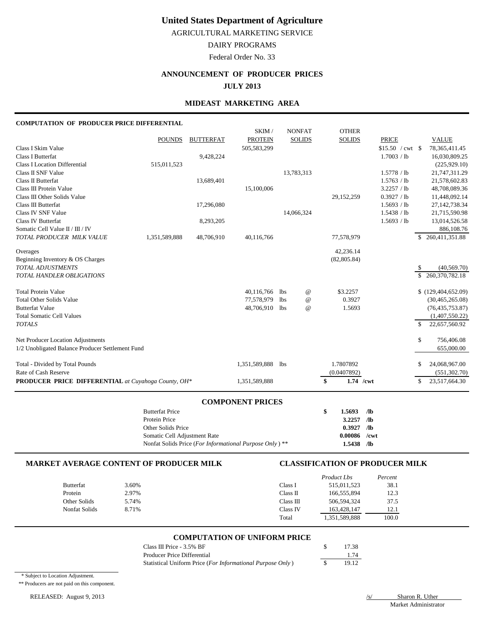AGRICULTURAL MARKETING SERVICE

### DAIRY PROGRAMS

Federal Order No. 33

## **ANNOUNCEMENT OF PRODUCER PRICES**

**JULY 2013**

### **MIDEAST MARKETING AREA**

#### **COMPUTATION OF PRODUCER PRICE DIFFERENTIAL**

|                                                            |                                       |                  | SKIM /                  |            | <b>NONFAT</b> | <b>OTHER</b>    |                    |               |                      |
|------------------------------------------------------------|---------------------------------------|------------------|-------------------------|------------|---------------|-----------------|--------------------|---------------|----------------------|
|                                                            | <b>POUNDS</b>                         | <b>BUTTERFAT</b> | <b>PROTEIN</b>          |            | <b>SOLIDS</b> | <b>SOLIDS</b>   | <b>PRICE</b>       |               | <b>VALUE</b>         |
| Class I Skim Value                                         |                                       |                  | 505,583,299             |            |               |                 | $$15.50$ / cwt \\$ |               | 78, 365, 411. 45     |
| Class I Butterfat                                          |                                       | 9,428,224        |                         |            |               |                 | 1.7003 / lb        |               | 16,030,809.25        |
| <b>Class I Location Differential</b>                       | 515,011,523                           |                  |                         |            |               |                 |                    |               | (225, 929.10)        |
| Class II SNF Value                                         |                                       |                  |                         |            | 13,783,313    |                 | 1.5778 / lb        |               | 21,747,311.29        |
| Class II Butterfat                                         |                                       | 13,689,401       |                         |            |               |                 | 1.5763 / lb        |               | 21,578,602.83        |
| Class III Protein Value                                    |                                       |                  | 15,100,006              |            |               |                 | 3.2257 / lb        |               | 48,708,089.36        |
| Class III Other Solids Value                               |                                       |                  |                         |            |               | 29,152,259      | 0.3927 / lb        |               | 11,448,092.14        |
| Class III Butterfat                                        |                                       | 17,296,080       |                         |            |               |                 | 1.5693 / lb        |               | 27, 142, 738. 34     |
| Class IV SNF Value                                         |                                       |                  |                         |            | 14,066,324    |                 | 1.5438 / lb        |               | 21,715,590.98        |
| <b>Class IV Butterfat</b>                                  |                                       | 8,293,205        |                         |            |               |                 | 1.5693 / lb        |               | 13,014,526.58        |
| Somatic Cell Value II / III / IV                           |                                       |                  |                         |            |               |                 |                    |               | 886,108.76           |
| TOTAL PRODUCER MILK VALUE                                  | 1,351,589,888                         | 48,706,910       | 40,116,766              |            |               | 77,578,979      |                    |               | \$260,411,351.88     |
| Overages                                                   |                                       |                  |                         |            |               | 42,236.14       |                    |               |                      |
| Beginning Inventory & OS Charges                           |                                       |                  |                         |            |               | (82, 805.84)    |                    |               |                      |
| TOTAL ADJUSTMENTS                                          |                                       |                  |                         |            |               |                 |                    | \$            | (40, 569.70)         |
| <b>TOTAL HANDLER OBLIGATIONS</b>                           |                                       |                  |                         |            |               |                 |                    | $\mathbb{S}$  | 260,370,782.18       |
| <b>Total Protein Value</b>                                 |                                       |                  | 40,116,766              | <b>lbs</b> | $\omega$      | \$3.2257        |                    |               | \$(129, 404, 652.09) |
| <b>Total Other Solids Value</b>                            |                                       |                  | 77,578,979              | <b>lbs</b> | $^{\,a}$      | 0.3927          |                    |               | (30, 465, 265.08)    |
| <b>Butterfat Value</b>                                     |                                       |                  | 48,706,910              | lbs        | $^{\,a}$      | 1.5693          |                    |               | (76, 435, 753.87)    |
| <b>Total Somatic Cell Values</b>                           |                                       |                  |                         |            |               |                 |                    |               | (1,407,550.22)       |
| <b>TOTALS</b>                                              |                                       |                  |                         |            |               |                 |                    | $\mathcal{S}$ | 22,657,560.92        |
| Net Producer Location Adjustments                          |                                       |                  |                         |            |               |                 |                    | \$            | 756,406.08           |
| 1/2 Unobligated Balance Producer Settlement Fund           |                                       |                  |                         |            |               |                 |                    |               | 655,000.00           |
| Total - Divided by Total Pounds                            |                                       |                  | 1,351,589,888           | <b>lbs</b> |               | 1.7807892       |                    | \$            | 24,068,967.00        |
| Rate of Cash Reserve                                       |                                       |                  |                         |            |               | (0.0407892)     |                    |               | (551, 302.70)        |
| <b>PRODUCER PRICE DIFFERENTIAL</b> at Cuyahoga County, OH* |                                       |                  | 1,351,589,888           |            |               | 1.74 /cwt<br>\$ |                    | \$            | 23,517,664.30        |
|                                                            |                                       |                  |                         |            |               |                 |                    |               |                      |
|                                                            | <b>Butterfat Price</b>                |                  | <b>COMPONENT PRICES</b> |            |               | \$<br>1.5693    | /lb                |               |                      |
|                                                            | $D_{\text{model}}$ $D_{\text{model}}$ |                  |                         |            |               | $2.2257 - 115$  |                    |               |                      |

| Protein Price                                           | $3.2257$ /lb |  |
|---------------------------------------------------------|--------------|--|
| Other Solids Price                                      | $0.3927$ /lb |  |
| Somatic Cell Adjustment Rate                            | 0.00086 /cwt |  |
| Nonfat Solids Price (For Informational Purpose Only) ** | $1.5438$ /lb |  |

#### **MARKET AVERAGE CONTENT OF PRODUCER MILK CLASSIFICATION OF PRODUCER MILK**

|                  |       |           | Product Lbs   | Percent |
|------------------|-------|-----------|---------------|---------|
| <b>Butterfat</b> | 3.60% | Class I   | 515,011,523   | 38.1    |
| Protein          | 2.97% | Class II  | 166,555,894   | 12.3    |
| Other Solids     | 5.74% | Class III | 506,594,324   | 37.5    |
| Nonfat Solids    | 8.71% | Class IV  | 163,428,147   | 12.1    |
|                  |       | Total     | 1,351,589,888 | 100.0   |

#### **COMPUTATION OF UNIFORM PRICE**

| Class III Price - 3.5% BF                                  | 17.38 |
|------------------------------------------------------------|-------|
| Producer Price Differential                                | 1.74  |
| Statistical Uniform Price (For Informational Purpose Only) | 19.12 |

\* Subject to Location Adjustment.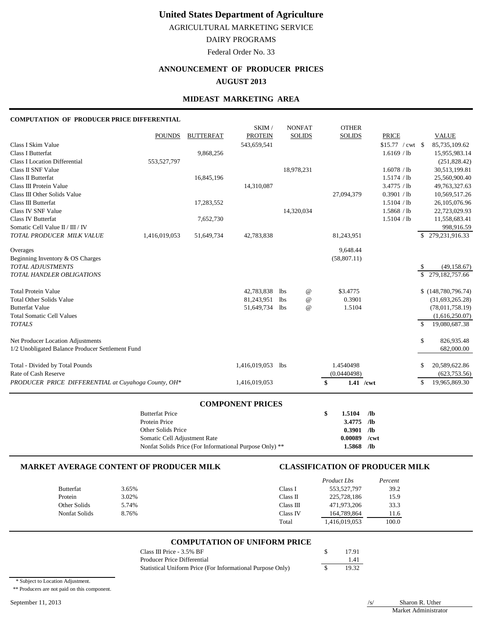AGRICULTURAL MARKETING SERVICE

# DAIRY PROGRAMS

Federal Order No. 33

# **ANNOUNCEMENT OF PRODUCER PRICES**

### **AUGUST 2013**

### **MIDEAST MARKETING AREA**

SKIM / NONFAT OTHER

#### **COMPUTATION OF PRODUCER PRICE DIFFERENTIAL**

|                                                     |               |                  | <b>COMPONENT PRICES</b> |                 |                                 |               |                            |               |                                |
|-----------------------------------------------------|---------------|------------------|-------------------------|-----------------|---------------------------------|---------------|----------------------------|---------------|--------------------------------|
| PRODUCER PRICE DIFFERENTIAL at Cuyahoga County, OH* |               |                  | 1,416,019,053           |                 |                                 | \$            | 1.41 /cwt                  | \$            | 19,965,869.30                  |
| Rate of Cash Reserve                                |               |                  |                         |                 |                                 | (0.0440498)   |                            |               | (623, 753.56)                  |
| Total - Divided by Total Pounds                     |               |                  | 1,416,019,053           | lbs             |                                 | 1.4540498     |                            | \$            | 20,589,622.86                  |
| 1/2 Unobligated Balance Producer Settlement Fund    |               |                  |                         |                 |                                 |               |                            |               | 682,000.00                     |
| Net Producer Location Adjustments                   |               |                  |                         |                 |                                 |               |                            | \$            | 826,935.48                     |
| <b>TOTALS</b>                                       |               |                  |                         |                 |                                 |               |                            | $\mathcal{S}$ | 19,080,687.38                  |
| <b>Total Somatic Cell Values</b>                    |               |                  |                         |                 |                                 |               |                            |               | (1,616,250.07)                 |
| <b>Butterfat Value</b>                              |               |                  | 51,649,734              | <b>lbs</b>      | $^\text{\textregistered}$       | 1.5104        |                            |               | (78,011,758.19)                |
| <b>Total Other Solids Value</b>                     |               |                  | 81,243,951              | 1 <sub>bs</sub> | $^{\scriptsize\textregistered}$ | 0.3901        |                            |               | (31,693,265.28)                |
| <b>Total Protein Value</b>                          |               |                  | 42,783,838              | 1bs             | $^{\scriptsize\textregistered}$ | \$3.4775      |                            |               | \$(148,780,796.74)             |
| TOTAL HANDLER OBLIGATIONS                           |               |                  |                         |                 |                                 |               |                            | \$.           | 279, 182, 757.66               |
| <b>TOTAL ADJUSTMENTS</b>                            |               |                  |                         |                 |                                 |               |                            | \$            | (49, 158.67)                   |
| Beginning Inventory & OS Charges                    |               |                  |                         |                 |                                 | (58, 807.11)  |                            |               |                                |
| Overages                                            |               |                  |                         |                 |                                 | 9,648.44      |                            |               |                                |
| TOTAL PRODUCER MILK VALUE                           | 1,416,019,053 | 51,649,734       | 42,783,838              |                 |                                 | 81,243,951    |                            | \$.           | 279, 231, 916. 33              |
| Somatic Cell Value II / III / IV                    |               |                  |                         |                 |                                 |               |                            |               | 998,916.59                     |
| <b>Class IV Butterfat</b>                           |               | 7,652,730        |                         |                 |                                 |               | 1.5104 / lb                |               | 11,558,683.41                  |
| Class IV SNF Value                                  |               | 17,283,552       |                         |                 | 14,320,034                      |               | 1.5868 / lb                |               | 26,105,076.96<br>22,723,029.93 |
| Class III Other Solids Value<br>Class III Butterfat |               |                  |                         |                 |                                 | 27,094,379    | 0.3901 / lb<br>1.5104 / lb |               | 10,569,517.26                  |
| Class III Protein Value                             |               |                  | 14,310,087              |                 |                                 |               | 3.4775 / lb                |               | 49,763,327.63                  |
| Class II Butterfat                                  |               | 16,845,196       |                         |                 |                                 |               | 1.5174 / lb                |               | 25,560,900.40                  |
| Class II SNF Value                                  |               |                  |                         |                 | 18,978,231                      |               | 1.6078 / lb                |               | 30,513,199.81                  |
| <b>Class I Location Differential</b>                | 553,527,797   |                  |                         |                 |                                 |               |                            |               | (251, 828.42)                  |
| Class I Butterfat                                   |               | 9,868,256        |                         |                 |                                 |               | 1.6169 / lb                |               | 15,955,983.14                  |
| Class I Skim Value                                  |               |                  | 543,659,541             |                 |                                 |               | $$15.77$ / cwt \ \$        |               | 85,735,109.62                  |
|                                                     | <b>POUNDS</b> | <b>BUTTERFAT</b> | <b>PROTEIN</b>          |                 | <b>SOLIDS</b>                   | <b>SOLIDS</b> | <b>PRICE</b>               |               | <b>VALUE</b>                   |
|                                                     |               |                  | <b>SININI</b>           |                 | <b>NUNFAI</b>                   | <b>UILLER</b> |                            |               |                                |

| <b>Butterfat Price</b> | $1.5104$ /lb |  |
|------------------------|--------------|--|
| Protein Price          | $3.4775$ /lb |  |

| Protein Price                                           | $3.4775$ /lb   |  |
|---------------------------------------------------------|----------------|--|
| Other Solids Price                                      | $0.3901$ /lb   |  |
| Somatic Cell Adjustment Rate                            | $0.00089$ /cwt |  |
| Nonfat Solids Price (For Informational Purpose Only) ** | $1.5868$ /lb   |  |

#### **MARKET AVERAGE CONTENT OF PRODUCER MILK CLASSIFICATION OF PRODUCER MILK**

|                  |       |           | Product Lbs   | Percent |
|------------------|-------|-----------|---------------|---------|
| <b>Butterfat</b> | 3.65% | Class I   | 553,527,797   | 39.2    |
| Protein          | 3.02% | Class II  | 225,728,186   | 15.9    |
| Other Solids     | 5.74% | Class III | 471.973.206   | 33.3    |
| Nonfat Solids    | 8.76% | Class IV  | 164,789,864   | 11.6    |
|                  |       | Total     | 1,416,019,053 | 100.0   |

# **COMPUTATION OF UNIFORM PRICE**

| Class III Price - 3.5% BF                                  | 17.91 |
|------------------------------------------------------------|-------|
| Producer Price Differential                                | 1.41  |
| Statistical Uniform Price (For Informational Purpose Only) | 19.32 |

\* Subject to Location Adjustment.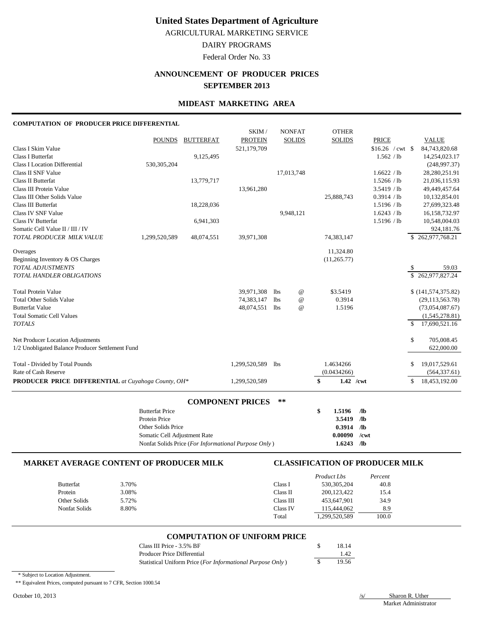AGRICULTURAL MARKETING SERVICE

DAIRY PROGRAMS

Federal Order No. 33

# **ANNOUNCEMENT OF PRODUCER PRICES SEPTEMBER 2013**

#### **MIDEAST MARKETING AREA**

#### **COMPUTATION OF PRODUCER PRICE DIFFERENTIAL**

|                                                     |                              |                  | SKIM/                   |            | <b>NONFAT</b>   | <b>OTHER</b>      |                 |                    |               |                    |
|-----------------------------------------------------|------------------------------|------------------|-------------------------|------------|-----------------|-------------------|-----------------|--------------------|---------------|--------------------|
|                                                     | <b>POUNDS</b>                | <b>BUTTERFAT</b> | <b>PROTEIN</b>          |            | <b>SOLIDS</b>   | <b>SOLIDS</b>     |                 | <b>PRICE</b>       |               | <b>VALUE</b>       |
| Class I Skim Value                                  |                              |                  | 521,179,709             |            |                 |                   |                 | $$16.26$ / cwt \\$ |               | 84,743,820.68      |
| <b>Class I Butterfat</b>                            |                              | 9,125,495        |                         |            |                 |                   |                 | 1.562 / lb         |               | 14,254,023.17      |
| <b>Class I Location Differential</b>                | 530,305,204                  |                  |                         |            |                 |                   |                 |                    |               | (248,997.37)       |
| Class II SNF Value                                  |                              |                  |                         |            | 17,013,748      |                   |                 | 1.6622 / lb        |               | 28,280,251.91      |
| <b>Class II Butterfat</b>                           |                              | 13,779,717       |                         |            |                 |                   |                 | 1.5266 / lb        |               | 21,036,115.93      |
| Class III Protein Value                             |                              |                  | 13,961,280              |            |                 |                   |                 | 3.5419 / lb        |               | 49,449,457.64      |
| Class III Other Solids Value                        |                              |                  |                         |            |                 | 25,888,743        |                 | 0.3914 / lb        |               | 10,132,854.01      |
| Class III Butterfat                                 |                              | 18,228,036       |                         |            |                 |                   |                 | 1.5196 / lb        |               | 27,699,323.48      |
| <b>Class IV SNF Value</b>                           |                              |                  |                         |            | 9,948,121       |                   |                 | 1.6243 / lb        |               | 16,158,732.97      |
| <b>Class IV Butterfat</b>                           |                              | 6,941,303        |                         |            |                 |                   |                 | 1.5196 / lb        |               | 10,548,004.03      |
| Somatic Cell Value II / III / IV                    |                              |                  |                         |            |                 |                   |                 |                    |               | 924,181.76         |
| TOTAL PRODUCER MILK VALUE                           | 1,299,520,589                | 48,074,551       | 39,971,308              |            |                 | 74,383,147        |                 |                    |               | \$262,977,768.21   |
| Overages                                            |                              |                  |                         |            |                 | 11,324.80         |                 |                    |               |                    |
| Beginning Inventory & OS Charges                    |                              |                  |                         |            |                 | (11, 265.77)      |                 |                    |               |                    |
| <b>TOTAL ADJUSTMENTS</b>                            |                              |                  |                         |            |                 |                   |                 |                    | \$            | 59.03              |
| <b>TOTAL HANDLER OBLIGATIONS</b>                    |                              |                  |                         |            |                 |                   |                 |                    |               | \$262,977,827.24   |
| <b>Total Protein Value</b>                          |                              |                  | 39,971,308              | lbs        | $^{\,a}$        | \$3.5419          |                 |                    |               | \$(141,574,375.82) |
| <b>Total Other Solids Value</b>                     |                              |                  | 74,383,147              | <b>lbs</b> | $^{\copyright}$ | 0.3914            |                 |                    |               | (29, 113, 563.78)  |
| <b>Butterfat Value</b>                              |                              |                  | 48,074,551              | <b>lbs</b> | $\omega$        | 1.5196            |                 |                    |               | (73,054,087.67)    |
| <b>Total Somatic Cell Values</b>                    |                              |                  |                         |            |                 |                   |                 |                    |               | (1,545,278.81)     |
| <b>TOTALS</b>                                       |                              |                  |                         |            |                 |                   |                 |                    | <sup>\$</sup> | 17,690,521.16      |
| Net Producer Location Adjustments                   |                              |                  |                         |            |                 |                   |                 |                    | \$            | 705,008.45         |
| 1/2 Unobligated Balance Producer Settlement Fund    |                              |                  |                         |            |                 |                   |                 |                    |               | 622,000.00         |
|                                                     |                              |                  |                         |            |                 |                   |                 |                    |               |                    |
| Total - Divided by Total Pounds                     |                              |                  | 1,299,520,589           | <b>lbs</b> |                 | 1.4634266         |                 |                    | S             | 19,017,529.61      |
| Rate of Cash Reserve                                |                              |                  |                         |            |                 | (0.0434266)       |                 |                    |               | (564, 337.61)      |
| PRODUCER PRICE DIFFERENTIAL at Cuyahoga County, OH* |                              |                  | 1,299,520,589           |            |                 | $1.42$ /cwt<br>\$ |                 |                    | \$            | 18,453,192.00      |
|                                                     |                              |                  | <b>COMPONENT PRICES</b> | **         |                 |                   |                 |                    |               |                    |
|                                                     | <b>Butterfat Price</b>       |                  |                         |            |                 | \$<br>1.5196      | $/$ lb          |                    |               |                    |
|                                                     | Protein Price                |                  |                         |            |                 | 3.5419            | /1 <sub>b</sub> |                    |               |                    |
|                                                     | Other Solids Price           |                  |                         |            |                 | 0.3914            | /1 <sub>b</sub> |                    |               |                    |
|                                                     | Somatic Cell Adjustment Rate |                  |                         |            |                 | 0.00090           | /cwt            |                    |               |                    |

### **MARKET AVERAGE CONTENT OF PRODUCER MILK CLASSIFICATION OF PRODUCER MILK**

|                  |       |           | Product Lbs   | Percent |
|------------------|-------|-----------|---------------|---------|
| <b>Butterfat</b> | 3.70% | Class I   | 530, 305, 204 | 40.8    |
| Protein          | 3.08% | Class II  | 200.123.422   | 15.4    |
| Other Solids     | 5.72% | Class III | 453.647.901   | 34.9    |
| Nonfat Solids    | 8.80% | Class IV  | 115,444,062   | 8.9     |
|                  |       | Total     | 1,299,520,589 | 100.0   |

#### **COMPUTATION OF UNIFORM PRICE**

| Class III Price - 3.5% BF                                           | 18.14 |
|---------------------------------------------------------------------|-------|
| Producer Price Differential                                         | 1.42  |
| Statistical Uniform Price ( <i>For Informational Purpose Only</i> ) | 19.56 |

Nonfat Solids Price (*For Informational Purpose Only* ) **1.6243 /lb**

\* Subject to Location Adjustment.

\*\* Equivalent Prices, computed pursuant to 7 CFR, Section 1000.54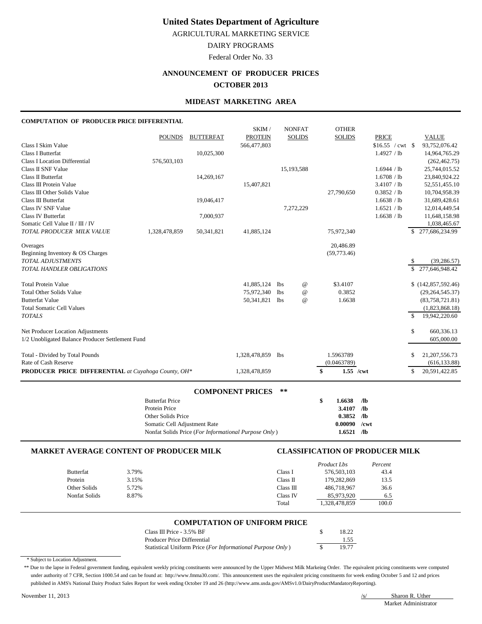AGRICULTURAL MARKETING SERVICE

## DAIRY PROGRAMS

Federal Order No. 33

### **ANNOUNCEMENT OF PRODUCER PRICES**

#### **OCTOBER 2013**

#### **MIDEAST MARKETING AREA**

#### **COMPUTATION OF PRODUCER PRICE DIFFERENTIAL**

|                                                            |               |                  | SKIM/          |            | <b>NONFAT</b>             | <b>OTHER</b>      |                  |               |                    |
|------------------------------------------------------------|---------------|------------------|----------------|------------|---------------------------|-------------------|------------------|---------------|--------------------|
|                                                            | <b>POUNDS</b> | <b>BUTTERFAT</b> | <b>PROTEIN</b> |            | <b>SOLIDS</b>             | <b>SOLIDS</b>     | <b>PRICE</b>     |               | <b>VALUE</b>       |
| Class I Skim Value                                         |               |                  | 566,477,803    |            |                           |                   | \$16.55 / cwt \$ |               | 93,752,076.42      |
| <b>Class I Butterfat</b>                                   |               | 10,025,300       |                |            |                           |                   | 1.4927 / lb      |               | 14,964,765.29      |
| <b>Class I Location Differential</b>                       | 576,503,103   |                  |                |            |                           |                   |                  |               | (262, 462, 75)     |
| Class II SNF Value                                         |               |                  |                |            | 15,193,588                |                   | 1.6944 / lb      |               | 25,744,015.52      |
| Class II Butterfat                                         |               | 14,269,167       |                |            |                           |                   | 1.6708 / lb      |               | 23,840,924.22      |
| Class III Protein Value                                    |               |                  | 15,407,821     |            |                           |                   | 3.4107 / lb      |               | 52,551,455.10      |
| Class III Other Solids Value                               |               |                  |                |            |                           | 27,790,650        | 0.3852 / lb      |               | 10,704,958.39      |
| Class III Butterfat                                        |               | 19,046,417       |                |            |                           |                   | 1.6638 / lb      |               | 31,689,428.61      |
| <b>Class IV SNF Value</b>                                  |               |                  |                |            | 7,272,229                 |                   | 1.6521 / lb      |               | 12,014,449.54      |
| <b>Class IV Butterfat</b>                                  |               | 7,000,937        |                |            |                           |                   | 1.6638 / lb      |               | 11,648,158.98      |
| Somatic Cell Value II / III / IV                           |               |                  |                |            |                           |                   |                  |               | 1,038,465.67       |
| TOTAL PRODUCER MILK VALUE                                  | 1,328,478,859 | 50,341,821       | 41,885,124     |            |                           | 75,972,340        |                  | \$.           | 277,686,234.99     |
| Overages                                                   |               |                  |                |            |                           | 20,486.89         |                  |               |                    |
| Beginning Inventory & OS Charges                           |               |                  |                |            |                           | (59,773.46)       |                  |               |                    |
| TOTAL ADJUSTMENTS                                          |               |                  |                |            |                           |                   |                  |               | (39, 286.57)       |
| <b>TOTAL HANDLER OBLIGATIONS</b>                           |               |                  |                |            |                           |                   |                  | \$            | 277,646,948.42     |
| <b>Total Protein Value</b>                                 |               |                  | 41,885,124     | <b>lbs</b> | $^\text{\textregistered}$ | \$3.4107          |                  |               | \$(142,857,592.46) |
| <b>Total Other Solids Value</b>                            |               |                  | 75,972,340     | <b>lbs</b> | $^\text{\textregistered}$ | 0.3852            |                  |               | (29, 264, 545.37)  |
| <b>Butterfat Value</b>                                     |               |                  | 50,341,821     | lbs        | $^{\copyright}$           | 1.6638            |                  |               | (83,758,721.81)    |
| <b>Total Somatic Cell Values</b>                           |               |                  |                |            |                           |                   |                  |               | (1,823,868.18)     |
| <b>TOTALS</b>                                              |               |                  |                |            |                           |                   |                  | $\mathcal{S}$ | 19,942,220.60      |
| Net Producer Location Adjustments                          |               |                  |                |            |                           |                   |                  | \$            | 660,336.13         |
| 1/2 Unobligated Balance Producer Settlement Fund           |               |                  |                |            |                           |                   |                  |               | 605,000.00         |
| Total - Divided by Total Pounds                            |               |                  | 1,328,478,859  | <b>lbs</b> |                           | 1.5963789         |                  | S             | 21, 207, 556. 73   |
| Rate of Cash Reserve                                       |               |                  |                |            |                           | (0.0463789)       |                  |               | (616, 133.88)      |
| <b>PRODUCER PRICE DIFFERENTIAL</b> at Cuyahoga County, OH* |               |                  | 1,328,478,859  |            |                           | \$<br>$1.55$ /cwt |                  | S             | 20,591,422.85      |
|                                                            |               |                  |                |            |                           |                   |                  |               |                    |

| <b>COMPONENT PRICES</b><br>**                        |  |                    |    |  |  |  |
|------------------------------------------------------|--|--------------------|----|--|--|--|
| <b>Butterfat Price</b>                               |  | 1.6638             | Лb |  |  |  |
| Protein Price                                        |  | 3.4107 $\sqrt{16}$ |    |  |  |  |
| Other Solids Price                                   |  | $0.3852$ /lb       |    |  |  |  |
| Somatic Cell Adjustment Rate                         |  | $0.00090$ /cwt     |    |  |  |  |
| Nonfat Solids Price (For Informational Purpose Only) |  | $1.6521$ /lb       |    |  |  |  |

#### **MARKET AVERAGE CONTENT OF PRODUCER MILK CLASSIFICATION OF PRODUCER MILK**

|                  |       |           | Product Lbs   | Percent |
|------------------|-------|-----------|---------------|---------|
| <b>Butterfat</b> | 3.79% | Class I   | 576,503,103   | 43.4    |
| Protein          | 3.15% | Class II  | 179,282,869   | 13.5    |
| Other Solids     | 5.72% | Class III | 486,718,967   | 36.6    |
| Nonfat Solids    | 8.87% | Class IV  | 85,973,920    | 6.5     |
|                  |       | Total     | 1,328,478,859 | 100.0   |

#### **COMPUTATION OF UNIFORM PRICE**

| Class III Price - $3.5\%$ BF                               | 18.22 |
|------------------------------------------------------------|-------|
| Producer Price Differential                                | 1.55  |
| Statistical Uniform Price (For Informational Purpose Only) | 19.77 |

\* Subject to Location Adjustment.

\*\* Due to the lapse in Federal government funding, equivalent weekly pricing constituents were announced by the Upper Midwest Milk Markeing Order. The equivalent pricing constituents were computed under authority of 7 CFR, Section 1000.54 and can be found at: http://www.fmma30.com/. This announcement uses the equivalent pricing constituents for week ending October 5 and 12 and prices published in AMS's National Dairy Product Sales Report for week ending October 19 and 26 (http://www.ams.usda.gov/AMSv1.0/DairyProductMandatoryReporting).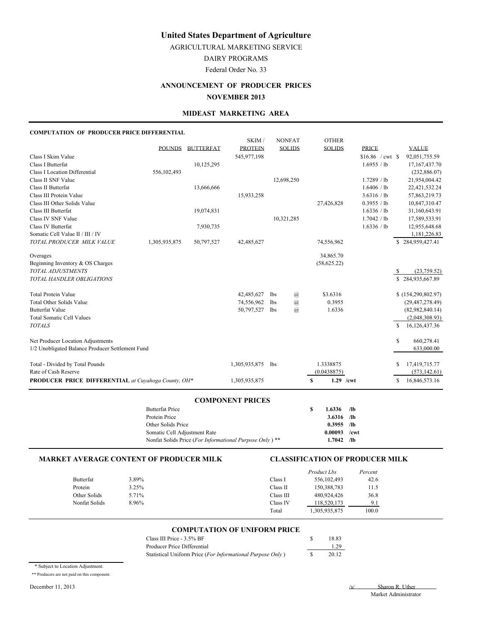AGRICULTURAL MARKETING SERVICE

DAIRY PROGRAMS

Federal Order No. 33

# **ANNOUNCEMENT OF PRODUCER PRICES NOVEMBER 2013**

#### **MIDEAST MARKETING AREA**

#### **COMPUTATION OF PRODUCER PRICE DIFFERENTIAL**

|                                                            |               |                  | SKIM/          |                 | <b>NONFAT</b>  | <b>OTHER</b>      |              |    |                   |
|------------------------------------------------------------|---------------|------------------|----------------|-----------------|----------------|-------------------|--------------|----|-------------------|
|                                                            | <b>POUNDS</b> | <b>BUTTERFAT</b> | <b>PROTEIN</b> |                 | <b>SOLIDS</b>  | <b>SOLIDS</b>     | <b>PRICE</b> |    | <b>VALUE</b>      |
| Class I Skim Value                                         |               |                  | 545,977,198    |                 |                |                   |              |    | 92,051,755.59     |
| Class I Butterfat                                          |               | 10,125,295       |                |                 |                |                   | 1.6955 / lb  |    | 17, 167, 437. 70  |
| <b>Class I Location Differential</b>                       | 556,102,493   |                  |                |                 |                |                   |              |    | (232,886.07)      |
| Class II SNF Value                                         |               |                  |                |                 | 12,698,250     |                   | 1.7289 / lb  |    | 21,954,004.42     |
| Class II Butterfat                                         |               | 13,666,666       |                |                 |                |                   | 1.6406 / lb  |    | 22,421,532.24     |
| Class III Protein Value                                    |               |                  | 15,933,258     |                 |                |                   | 3.6316 / lb  |    | 57,863,219.73     |
| Class III Other Solids Value                               |               |                  |                |                 |                | 27,426,828        | 0.3955 / lb  |    | 10,847,310.47     |
| Class III Butterfat                                        |               | 19,074,831       |                |                 |                |                   | 1.6336 / lb  |    | 31,160,643.91     |
| Class IV SNF Value                                         |               |                  |                |                 | 10,321,285     |                   | 1.7042 / lb  |    | 17,589,533.91     |
| Class IV Butterfat                                         |               | 7,930,735        |                |                 |                |                   | 1.6336 / lb  |    | 12,955,648.68     |
| Somatic Cell Value II / III / IV                           |               |                  |                |                 |                |                   |              |    | 1,181,226.83      |
| TOTAL PRODUCER MILK VALUE                                  | 1,305,935,875 | 50,797,527       | 42,485,627     |                 |                | 74,556,962        |              |    | \$284,959,427.41  |
| Overages                                                   |               |                  |                |                 |                | 34,865.70         |              |    |                   |
| Beginning Inventory & OS Charges                           |               |                  |                |                 |                | (58, 625.22)      |              |    |                   |
| <b>TOTAL ADJUSTMENTS</b>                                   |               |                  |                |                 |                |                   |              | S  | (23,759.52)       |
| TOTAL HANDLER OBLIGATIONS                                  |               |                  |                |                 |                |                   |              |    | \$284,935,667.89  |
| <b>Total Protein Value</b>                                 |               |                  | 42,485,627     | <b>lbs</b>      | $\circleda$    | \$3.6316          |              |    | (154,290,802.97)  |
| <b>Total Other Solids Value</b>                            |               |                  | 74,556,962     | lbs             | $\circleda$    | 0.3955            |              |    | (29, 487, 278.49) |
| <b>Butterfat Value</b>                                     |               |                  | 50,797,527     | <b>lbs</b>      | $\overline{a}$ | 1.6336            |              |    | (82,982,840.14)   |
| <b>Total Somatic Cell Values</b>                           |               |                  |                |                 |                |                   |              |    | (2,048,308.93)    |
| <b>TOTALS</b>                                              |               |                  |                |                 |                |                   |              | S  | 16,126,437.36     |
| Net Producer Location Adjustments                          |               |                  |                |                 |                |                   |              | \$ | 660,278.41        |
| 1/2 Unobligated Balance Producer Settlement Fund           |               |                  |                |                 |                |                   |              |    | 633,000.00        |
| Total - Divided by Total Pounds                            |               |                  | 1,305,935,875  | 1 <sub>bs</sub> |                | 1.3338875         |              | S  | 17,419,715.77     |
| Rate of Cash Reserve                                       |               |                  |                |                 |                | (0.0438875)       |              |    | (573, 142.61)     |
| <b>PRODUCER PRICE DIFFERENTIAL</b> at Cuvahoga County, OH* |               |                  | 1,305,935,875  |                 |                | $1.29$ /cwt<br>\$ |              | \$ | 16,846,573.16     |
|                                                            |               |                  |                |                 |                |                   |              |    |                   |

#### **COMPONENT PRICES**

| <b>Butterfat Price</b>                                             | 1.6336         | /lb |
|--------------------------------------------------------------------|----------------|-----|
| Protein Price                                                      | $3.6316$ /lb   |     |
| Other Solids Price                                                 | $0.3955$ /lb   |     |
| Somatic Cell Adjustment Rate                                       | $0.00093$ /cwt |     |
| Nonfat Solids Price (For Informational Purpose Only) <sup>**</sup> | 1.7042         | /lb |

#### **MARKET AVERAGE CONTENT OF PRODUCER MILK CLASSIFICATION OF PRODUCER MILK**

|               |       |           | Product Lbs   | Percent |
|---------------|-------|-----------|---------------|---------|
| Butterfat     | 3.89% | Class I   | 556, 102, 493 | 42.6    |
| Protein       | 3.25% | Class II  | 150,388,783   | 11.5    |
| Other Solids  | 5.71% | Class III | 480,924,426   | 36.8    |
| Nonfat Solids | 8.96% | Class IV  | 118,520,173   | 9.1     |
|               |       | Total     | 1,305,935,875 | 100.0   |

#### **COMPUTATION OF UNIFORM PRICE**

| Class III Price - 3.5% BF                                  | 18.83 |
|------------------------------------------------------------|-------|
| Producer Price Differential                                | 1.29  |
| Statistical Uniform Price (For Informational Purpose Only) | 20.12 |

\* Subject to Location Adjustment.